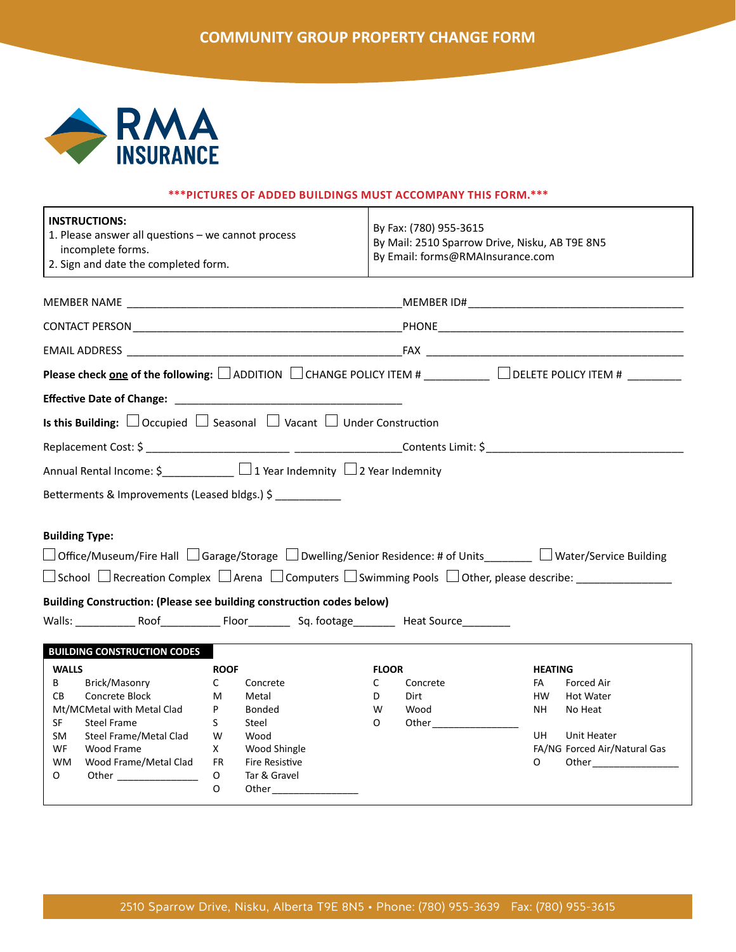

## **\*\*\*PICTURES OF ADDED BUILDINGS MUST ACCOMPANY THIS FORM.\*\*\***

| <b>INSTRUCTIONS:</b><br>1. Please answer all questions - we cannot process<br>incomplete forms.<br>2. Sign and date the completed form.                                                                                                       |                                                            |                                                                       |                                  | By Fax: (780) 955-3615<br>By Mail: 2510 Sparrow Drive, Nisku, AB T9E 8N5<br>By Email: forms@RMAInsurance.com |                                               |                                                                                                                                                                                                                                                                                                                                   |  |
|-----------------------------------------------------------------------------------------------------------------------------------------------------------------------------------------------------------------------------------------------|------------------------------------------------------------|-----------------------------------------------------------------------|----------------------------------|--------------------------------------------------------------------------------------------------------------|-----------------------------------------------|-----------------------------------------------------------------------------------------------------------------------------------------------------------------------------------------------------------------------------------------------------------------------------------------------------------------------------------|--|
|                                                                                                                                                                                                                                               |                                                            |                                                                       |                                  |                                                                                                              |                                               |                                                                                                                                                                                                                                                                                                                                   |  |
|                                                                                                                                                                                                                                               |                                                            |                                                                       |                                  |                                                                                                              |                                               |                                                                                                                                                                                                                                                                                                                                   |  |
|                                                                                                                                                                                                                                               |                                                            |                                                                       |                                  |                                                                                                              |                                               |                                                                                                                                                                                                                                                                                                                                   |  |
| Please check <u>one</u> of the following: $\Box$ ADDITION $\Box$ CHANGE POLICY ITEM # ___________ $\Box$ DELETE POLICY ITEM # ________                                                                                                        |                                                            |                                                                       |                                  |                                                                                                              |                                               |                                                                                                                                                                                                                                                                                                                                   |  |
|                                                                                                                                                                                                                                               |                                                            |                                                                       |                                  |                                                                                                              |                                               |                                                                                                                                                                                                                                                                                                                                   |  |
| <b>Is this Building:</b> $\Box$ Occupied $\Box$ Seasonal $\Box$ Vacant $\Box$ Under Construction                                                                                                                                              |                                                            |                                                                       |                                  |                                                                                                              |                                               |                                                                                                                                                                                                                                                                                                                                   |  |
|                                                                                                                                                                                                                                               |                                                            |                                                                       |                                  |                                                                                                              |                                               |                                                                                                                                                                                                                                                                                                                                   |  |
| Annual Rental Income: \$____________ □ 1 Year Indemnity □ 2 Year Indemnity                                                                                                                                                                    |                                                            |                                                                       |                                  |                                                                                                              |                                               |                                                                                                                                                                                                                                                                                                                                   |  |
| Betterments & Improvements (Leased bldgs.) \$                                                                                                                                                                                                 |                                                            |                                                                       |                                  |                                                                                                              |                                               |                                                                                                                                                                                                                                                                                                                                   |  |
| <b>Building Type:</b><br>$\Box$ Office/Museum/Fire Hall $\Box$ Garage/Storage $\Box$ Dwelling/Senior Residence: # of Units_______ $\Box$ Water/Service Building                                                                               |                                                            |                                                                       |                                  |                                                                                                              |                                               |                                                                                                                                                                                                                                                                                                                                   |  |
| Building Construction: (Please see building construction codes below)                                                                                                                                                                         |                                                            |                                                                       |                                  |                                                                                                              |                                               |                                                                                                                                                                                                                                                                                                                                   |  |
| <b>BUILDING CONSTRUCTION CODES</b><br><b>WALLS</b><br>Brick/Masonry<br>B<br>CB<br>Concrete Block<br>Mt/MCMetal with Metal Clad<br>SF<br>Steel Frame<br>Steel Frame/Metal Clad<br>SM<br>WF<br>Wood Frame<br><b>WM</b><br>Wood Frame/Metal Clad | <b>ROOF</b><br>C<br>M<br>P<br>S.<br>Steel<br>W<br>X<br>FR. | Concrete<br>Metal<br>Bonded<br>Wood<br>Wood Shingle<br>Fire Resistive | <b>FLOOR</b><br>C<br>D<br>W<br>O | Concrete<br>Dirt<br>Wood                                                                                     | <b>HEATING</b><br>FA<br>HW.<br>NH<br>UH.<br>O | <b>Forced Air</b><br><b>Hot Water</b><br>No Heat<br>Unit Heater<br>FA/NG Forced Air/Natural Gas<br>Other and the control of the control of the control of the control of the control of the control of the control of the control of the control of the control of the control of the control of the control of the control of th |  |
| $\circ$<br>Other ___________________                                                                                                                                                                                                          | O<br>$\Omega$                                              | Tar & Gravel<br>Other $\_$                                            |                                  |                                                                                                              |                                               |                                                                                                                                                                                                                                                                                                                                   |  |